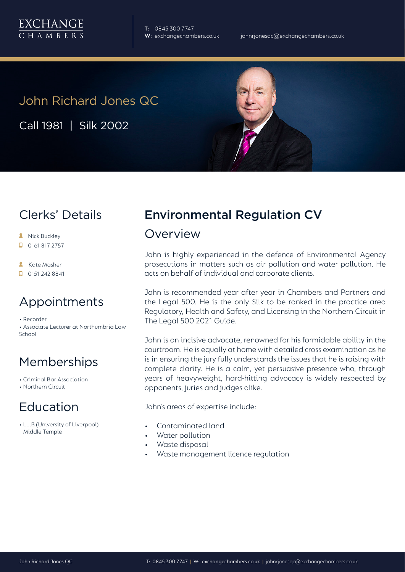

**T**: 0845 300 7747

# John Richard Jones QC

Call 1981 | Silk 2002

## Clerks' Details

- **A** Nick Buckley
- $\Box$  0161 817 2757
- **A** Kate Masher
- $\Box$  0151 242 8841

### Appointments

• Recorder • Associate Lecturer at Northumbria Law School

## Memberships

• Criminal Bar Association

• Northern Circuit

### Education

• LL.B (University of Liverpool) Middle Temple

## Environmental Regulation CV

#### Overview

John is highly experienced in the defence of Environmental Agency prosecutions in matters such as air pollution and water pollution. He acts on behalf of individual and corporate clients.

John is recommended year after year in Chambers and Partners and the Legal 500. He is the only Silk to be ranked in the practice area Regulatory, Health and Safety, and Licensing in the Northern Circuit in The Legal 500 2021 Guide.

John is an incisive advocate, renowned for his formidable ability in the courtroom. He is equally at home with detailed cross examination as he is in ensuring the jury fully understands the issues that he is raising with complete clarity. He is a calm, yet persuasive presence who, through years of heavyweight, hard-hitting advocacy is widely respected by opponents, juries and judges alike.

John's areas of expertise include:

- Contaminated land
- Water pollution
- Waste disposal
- Waste management licence regulation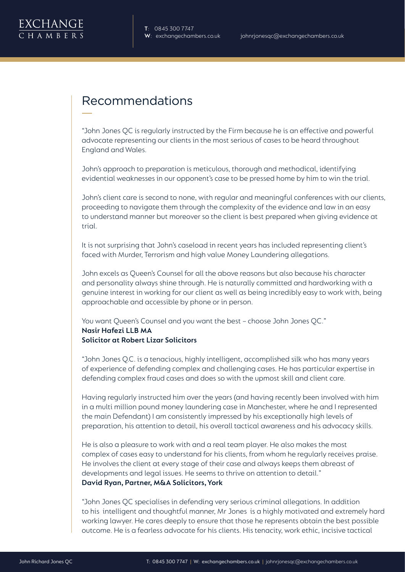### Recommendations

"John Jones QC is regularly instructed by the Firm because he is an effective and powerful advocate representing our clients in the most serious of cases to be heard throughout England and Wales.

John's approach to preparation is meticulous, thorough and methodical, identifying evidential weaknesses in our opponent's case to be pressed home by him to win the trial.

John's client care is second to none, with regular and meaningful conferences with our clients, proceeding to navigate them through the complexity of the evidence and law in an easy to understand manner but moreover so the client is best prepared when giving evidence at trial.

It is not surprising that John's caseload in recent years has included representing client's faced with Murder, Terrorism and high value Money Laundering allegations.

John excels as Queen's Counsel for all the above reasons but also because his character and personality always shine through. He is naturally committed and hardworking with a genuine interest in working for our client as well as being incredibly easy to work with, being approachable and accessible by phone or in person.

You want Queen's Counsel and you want the best – choose John Jones QC." **Nasir Hafezi LLB MA Solicitor at Robert Lizar Solicitors** 

"John Jones Q.C. is a tenacious, highly intelligent, accomplished silk who has many years of experience of defending complex and challenging cases. He has particular expertise in defending complex fraud cases and does so with the upmost skill and client care.

Having regularly instructed him over the years (and having recently been involved with him in a multi million pound money laundering case in Manchester, where he and I represented the main Defendant) I am consistently impressed by his exceptionally high levels of preparation, his attention to detail, his overall tactical awareness and his advocacy skills.

He is also a pleasure to work with and a real team player. He also makes the most complex of cases easy to understand for his clients, from whom he regularly receives praise. He involves the client at every stage of their case and always keeps them abreast of developments and legal issues. He seems to thrive on attention to detail." **David Ryan, Partner, M&A Solicitors, York**

"John Jones QC specialises in defending very serious criminal allegations. In addition to his intelligent and thoughtful manner, Mr Jones is a highly motivated and extremely hard working lawyer. He cares deeply to ensure that those he represents obtain the best possible outcome. He is a fearless advocate for his clients. His tenacity, work ethic, incisive tactical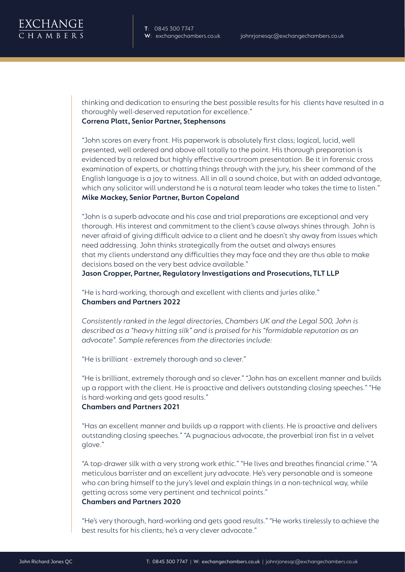**T**: 0845 300 7747

thinking and dedication to ensuring the best possible results for his clients have resulted in a thoroughly well-deserved reputation for excellence." **Correna Platt, Senior Partner, Stephensons**

"John scores on every front. His paperwork is absolutely first class; logical, lucid, well presented, well ordered and above all totally to the point. His thorough preparation is evidenced by a relaxed but highly effective courtroom presentation. Be it in forensic cross examination of experts, or chatting things through with the jury, his sheer command of the English language is a joy to witness. All in all a sound choice, but with an added advantage, which any solicitor will understand he is a natural team leader who takes the time to listen." **Mike Mackey, Senior Partner, Burton Copeland**

"John is a superb advocate and his case and trial preparations are exceptional and very thorough. His interest and commitment to the client's cause always shines through. John is never afraid of giving difficult advice to a client and he doesn't shy away from issues which need addressing. John thinks strategically from the outset and always ensures that my clients understand any difficulties they may face and they are thus able to make decisions based on the very best advice available."

**Jason Cropper, Partner, Regulatory Investigations and Prosecutions, TLT LLP**

"He is hard-working, thorough and excellent with clients and juries alike." **Chambers and Partners 2022**

*Consistently ranked in the legal directories, Chambers UK and the Legal 500, John is described as a "heavy hitting silk" and is praised for his "formidable reputation as an advocate". Sample references from the directories include:*

"He is brilliant - extremely thorough and so clever."

"He is brilliant, extremely thorough and so clever." "John has an excellent manner and builds up a rapport with the client. He is proactive and delivers outstanding closing speeches." "He is hard-working and gets good results." **Chambers and Partners 2021**

"Has an excellent manner and builds up a rapport with clients. He is proactive and delivers outstanding closing speeches." "A pugnacious advocate, the proverbial iron fist in a velvet glove."

"A top-drawer silk with a very strong work ethic." "He lives and breathes financial crime." "A meticulous barrister and an excellent jury advocate. He's very personable and is someone who can bring himself to the jury's level and explain things in a non-technical way, while getting across some very pertinent and technical points." **Chambers and Partners 2020**

"He's very thorough, hard-working and gets good results." "He works tirelessly to achieve the best results for his clients; he's a very clever advocate."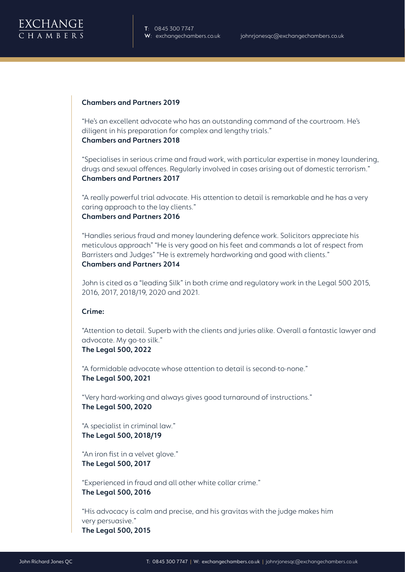

**T**: 0845 300 7747

#### **Chambers and Partners 2019**

"He's an excellent advocate who has an outstanding command of the courtroom. He's diligent in his preparation for complex and lengthy trials." **Chambers and Partners 2018**

"Specialises in serious crime and fraud work, with particular expertise in money laundering, drugs and sexual offences. Regularly involved in cases arising out of domestic terrorism." **Chambers and Partners 2017**

"A really powerful trial advocate. His attention to detail is remarkable and he has a very caring approach to the lay clients." **Chambers and Partners 2016**

"Handles serious fraud and money laundering defence work. Solicitors appreciate his meticulous approach" "He is very good on his feet and commands a lot of respect from Barristers and Judges" "He is extremely hardworking and good with clients." **Chambers and Partners 2014**

John is cited as a "leading Silk" in both crime and regulatory work in the Legal 500 2015, 2016, 2017, 2018/19, 2020 and 2021.

#### **Crime:**

"Attention to detail. Superb with the clients and juries alike. Overall a fantastic lawyer and advocate. My go-to silk." **The Legal 500, 2022**

"A formidable advocate whose attention to detail is second-to-none." **The Legal 500, 2021**

"Very hard-working and always gives good turnaround of instructions." **The Legal 500, 2020** 

"A specialist in criminal law." **The Legal 500, 2018/19**

"An iron fist in a velvet glove." **The Legal 500, 2017**

"Experienced in fraud and all other white collar crime." **The Legal 500, 2016**

"His advocacy is calm and precise, and his gravitas with the judge makes him very persuasive." **The Legal 500, 2015**